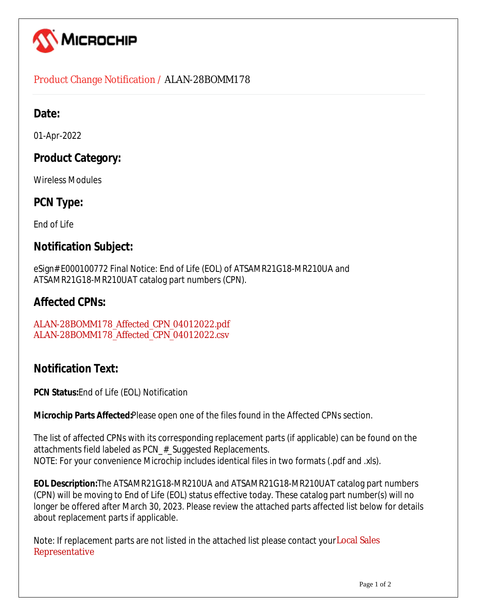

#### Product Change Notification / ALAN-28BOMM178

### Date:

01-Apr-2022

# **Product Category:**

Wireless Modules

## **PCN Type:**

End of Life

#### **Notification Subject:**

eSign# E000100772 Final Notice: End of Life (EOL) of ATSAMR21G18-MR210UA and ATSAMR21G18-MR210UAT catalog part numbers (CPN).

## **Affected CPNs:**

[ALAN-28BOMM178\\_Affected\\_CPN\\_04012022.pdf](https://www.microchip.com/mymicrochipapi/api/pcn/DownloadPcnDocument?pcnId=17664&affectedcpns=pdf) [ALAN-28BOMM178\\_Affected\\_CPN\\_04012022.csv](https://www.microchip.com/mymicrochipapi/api/pcn/DownloadPcnDocument?pcnId=17664&affectedcpns=xls)

# **Notification Text:**

**PCN Status:**End of Life (EOL) Notification

**Microchip Parts Affected:**Please open one of the files found in the Affected CPNs section.

The list of affected CPNs with its corresponding replacement parts (if applicable) can be found on the attachments field labeled as PCN # Suggested Replacements. NOTE: For your convenience Microchip includes identical files in two formats (.pdf and .xls).

**EOL Description:**The ATSAMR21G18-MR210UA and ATSAMR21G18-MR210UAT catalog part numbers (CPN) will be moving to End of Life (EOL) status effective today. These catalog part number(s) will no longer be offered after March 30, 2023. Please review the attached parts affected list below for details about replacement parts if applicable.

Note: If replacement parts are not listed in the attached list please contact your Local Sales [Representative](https://www.microchip.com/salesdirectory)